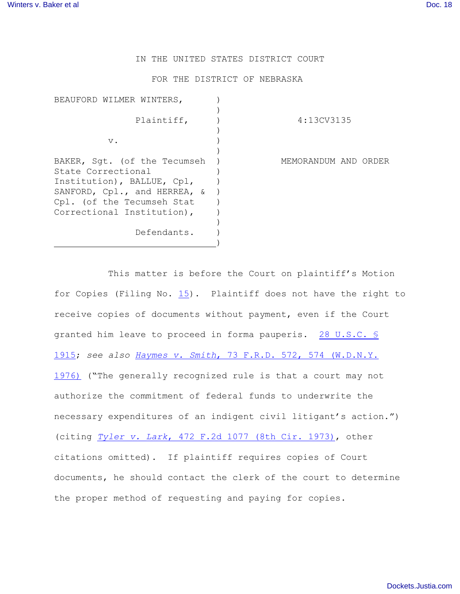IN THE UNITED STATES DISTRICT COURT

FOR THE DISTRICT OF NEBRASKA

| BEAUFORD WILMER WINTERS,                                                                                                                                                     |                      |
|------------------------------------------------------------------------------------------------------------------------------------------------------------------------------|----------------------|
| Plaintiff,                                                                                                                                                                   | 4:13CV3135           |
| $V$ .                                                                                                                                                                        |                      |
| BAKER, Sqt. (of the Tecumseh<br>State Correctional<br>Institution), BALLUE, Cpl,<br>SANFORD, Cpl., and HERREA, &<br>Cpl. (of the Tecumseh Stat<br>Correctional Institution), | MEMORANDUM AND ORDER |
| Defendants.                                                                                                                                                                  |                      |

This matter is before the Court on plaintiff's Motion for Copies (Filing No. [15](https://ecf.ned.uscourts.gov/doc1/11312913893)). Plaintiff does not have the right to receive copies of documents without payment, even if the Court granted him leave to proceed in forma pauperis. [28 U.S.C. §](http://www.westlaw.com/find/default.wl?rs=CLWP3.0&vr=2.0&cite=28+USCA+s+1915) [1915](http://www.westlaw.com/find/default.wl?rs=CLWP3.0&vr=2.0&cite=28+USCA+s+1915); *see also Haymes v. Smith*[, 73 F.R.D. 572, 574 \(W.D.N.Y.](http://www.westlaw.com/find/default.wl?rs=CLWP3.0&vr=2.0&cite=73+F.R.D.+572) [1976\)](http://www.westlaw.com/find/default.wl?rs=CLWP3.0&vr=2.0&cite=73+F.R.D.+572) ("The generally recognized rule is that a court may not authorize the commitment of federal funds to underwrite the necessary expenditures of an indigent civil litigant's action.") (citing *Tyler v. Lark*[, 472 F.2d 1077 \(8th Cir. 1973\)](http://www.westlaw.com/find/default.wl?rs=CLWP3.0&vr=2.0&cite=472+F.2d+1077), other citations omitted). If plaintiff requires copies of Court documents, he should contact the clerk of the court to determine the proper method of requesting and paying for copies.